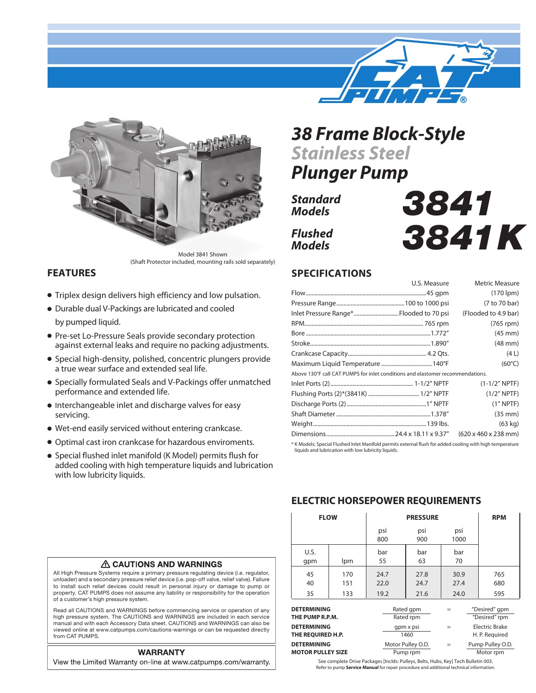

*3841*

*3841K*



Model 3841 Shown (Shaft Protector included, mounting rails sold separately)

### **FEATURES**

- Triplex design delivers high efficiency and low pulsation.
- Durable dual V-Packings are lubricated and cooled by pumped liquid.
- Pre-set Lo-Pressure Seals provide secondary protection against external leaks and require no packing adjustments.
- Special high-density, polished, concentric plungers provide a true wear surface and extended seal life.
- **Specially formulated Seals and V-Packings offer unmatched** performance and extended life.
- Interchangeable inlet and discharge valves for easy servicing.
- $\bullet$  Wet-end easily serviced without entering crankcase.
- <sup>l</sup> Optimal cast iron crankcase for hazardous enviroments.
- **•** Special flushed inlet manifold (K Model) permits flush for added cooling with high temperature liquids and lubrication with low lubricity liquids.

# *38 Frame Block-Style Stainless Steel*

*Plunger Pump*

*Standard Models Flushed*

*Models*

## **SPECIFICATIONS**

|                                                                                                           | U.S. Measure | <b>Metric Measure</b>                    |  |  |  |
|-----------------------------------------------------------------------------------------------------------|--------------|------------------------------------------|--|--|--|
|                                                                                                           |              | $(170$ lpm $)$                           |  |  |  |
|                                                                                                           |              | (7 to 70 bar)                            |  |  |  |
| Inlet Pressure Range*Flooded to 70 psi                                                                    |              | (Flooded to 4.9 bar)                     |  |  |  |
|                                                                                                           |              | $(765$ rpm $)$                           |  |  |  |
|                                                                                                           |              | $(45 \text{ mm})$                        |  |  |  |
|                                                                                                           |              | $(48 \text{ mm})$                        |  |  |  |
|                                                                                                           |              | (4L)                                     |  |  |  |
|                                                                                                           |              | $(60^{\circ}C)$                          |  |  |  |
| Above 130°F call CAT PUMPS for inlet conditions and elastomer recommendations.                            |              |                                          |  |  |  |
|                                                                                                           |              | $(1-1/2" NPTF)$                          |  |  |  |
|                                                                                                           |              | $(1/2"$ NPTF)                            |  |  |  |
|                                                                                                           |              | $(1"$ NPTF)                              |  |  |  |
|                                                                                                           |              | $(35 \text{ mm})$                        |  |  |  |
|                                                                                                           |              | $(63$ kg)                                |  |  |  |
|                                                                                                           |              | $(620 \times 460 \times 238 \text{ mm})$ |  |  |  |
| * K Models: Special Flushed Inlet Manifold permits external flush for added cooling with high temperature |              |                                          |  |  |  |

\* K Models: Special Flushed Inlet Manifold permits external flush for added cooling with high temperature liquids and lubrication with low lubricity liquids.

#### **ELECTRIC HORSEPOWER REQUIREMENTS**

| <b>FLOW</b>                                    |                   |                      | <b>RPM</b>                         |                      |                                  |
|------------------------------------------------|-------------------|----------------------|------------------------------------|----------------------|----------------------------------|
|                                                |                   | psi<br>800           | psi<br>900                         | psi<br>1000          |                                  |
| U.S.<br>qpm                                    | lpm               | bar<br>55            | bar<br>63                          | bar<br>70            |                                  |
| 45<br>40<br>35                                 | 170<br>151<br>133 | 24.7<br>22.0<br>19.2 | 27.8<br>24.7<br>21.6               | 30.9<br>27.4<br>24.0 | 765<br>680<br>595                |
| <b>DETERMINING</b><br>THE PUMP R.P.M.          |                   |                      | Rated gpm<br>Rated rpm             |                      | "Desired" gpm<br>"Desired" rpm   |
| <b>DETERMINING</b><br>THE REQUIRED H.P.        |                   | gpm x psi<br>1460    |                                    | $=$                  | Electric Brake<br>H. P. Required |
| <b>DETERMINING</b><br><b>MOTOR PULLEY SIZE</b> |                   |                      | Motor Pulley O.D.<br>Pump rpm<br>. | $=$                  | Pump Pulley O.D.<br>Motor rpm    |

**A CAUTIONS AND WARNINGS** 

All High Pressure Systems require a primary pressure regulating device (i.e. regulator, unloader) and a secondary pressure relief device (i.e. pop-off valve, relief valve). Failure to install such relief devices could result in personal injury or damage to pump or property. CAT PUMPS does not assume any liability or responsibility for the operation of a customer's high pressure system.

Read all CAUTIONS and WARNINGS before commencing service or operation of any high pressure system. The CAUTIONS and WARNINGS are included in each service manual and with each Accessory Data sheet. CAUTIONS and WARNINGS can also be viewed online at www.catpumps.com/cautions-warnings or can be requested directly from CAT PUMPS.

#### **WARRANTY**

View the Limited Warranty on-line at www.catpumps.com/warranty.

See complete Drive Packages [Inclds: Pulleys, Belts, Hubs, Key] Tech Bulletin 003. Refer to pump **Service Manual** for repair procedure and additional technical information.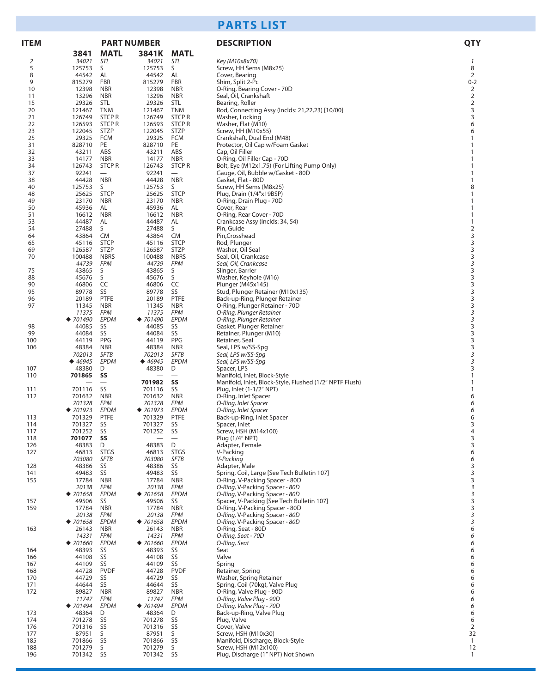## **PARTS LIST**

| <b>ITEM</b> |                                       | <b>PART NUMBER</b>                     |                     |                                 | <b>DESCRIPTION</b>                                                          |                                            |
|-------------|---------------------------------------|----------------------------------------|---------------------|---------------------------------|-----------------------------------------------------------------------------|--------------------------------------------|
|             | 3841                                  | <b>MATL</b>                            | 3841K               | <b>MATL</b>                     |                                                                             |                                            |
| 2           | 34021                                 | STL                                    | 34021               | STL                             | Key (M10x8x70)                                                              | $\mathcal{I}$                              |
| 5           | 125753                                | S                                      | 125753              | S                               | Screw, HH Sems (M8x25)                                                      | 8                                          |
| 8           | 44542                                 | AL                                     | 44542               | AL                              | Cover, Bearing                                                              | $\overline{2}$                             |
| 9           | 815279                                | <b>FBR</b>                             | 815279              | <b>FBR</b>                      | Shim, Split 2-Pc                                                            | $0 - 2$                                    |
| 10          | 12398                                 | <b>NBR</b>                             | 12398               | <b>NBR</b>                      | O-Ring, Bearing Cover - 70D                                                 | $\overline{2}$                             |
| 11<br>15    | 13296<br>29326                        | <b>NBR</b><br><b>STL</b>               | 13296<br>29326      | <b>NBR</b><br>STL               | Seal, Oil, Crankshaft<br>Bearing, Roller                                    | $\overline{\mathbf{c}}$<br>$\mathbf 2$     |
| 20          | 121467                                | <b>TNM</b>                             | 121467              | <b>TNM</b>                      | Rod, Connecting Assy (Inclds: 21,22,23) [10/00]                             | 3                                          |
| 21          | 126749                                | <b>STCP R</b>                          | 126749              | <b>STCPR</b>                    | Washer, Locking                                                             | 3                                          |
| 22          | 126593                                | <b>STCP R</b>                          | 126593              | <b>STCP R</b>                   | Washer, Flat (M10)                                                          | 6                                          |
| 23          | 122045                                | <b>STZP</b>                            | 122045              | <b>STZP</b>                     | Screw, HH (M10x55)                                                          | 6                                          |
| 25          | 29325                                 | <b>FCM</b>                             | 29325               | <b>FCM</b>                      | Crankshaft, Dual End (M48)                                                  | $\mathbf{1}$                               |
| 31          | 828710                                | PE                                     | 828710              | PE                              | Protector, Oil Cap w/Foam Gasket                                            | 1                                          |
| 32          | 43211                                 | ABS                                    | 43211               | ABS                             | Cap, Oil Filler                                                             | 1                                          |
| 33          | 14177                                 | <b>NBR</b>                             | 14177               | <b>NBR</b>                      | O-Ring, Oil Filler Cap - 70D                                                | $\mathbf{1}$                               |
| 34          | 126743                                | <b>STCP R</b>                          | 126743              | <b>STCPR</b>                    | Bolt, Eye (M12x1.75) (For Lifting Pump Only)                                | 1                                          |
| 37<br>38    | 92241<br>44428                        | $\overline{\phantom{m}}$<br><b>NBR</b> | 92241<br>44428      | $\qquad \qquad -$<br><b>NBR</b> | Gauge, Oil, Bubble w/Gasket - 80D<br>Gasket, Flat - 80D                     | 1<br>$\mathbf{1}$                          |
| 40          | 125753                                | S                                      | 125753              | S                               | Screw, HH Sems (M8x25)                                                      | 8                                          |
| 48          | 25625                                 | <b>STCP</b>                            | 25625               | <b>STCP</b>                     | Plug, Drain (1/4"x19BSP)                                                    | 1                                          |
| 49          | 23170                                 | <b>NBR</b>                             | 23170               | <b>NBR</b>                      | O-Ring, Drain Plug - 70D                                                    | $\mathbf{1}$                               |
| 50          | 45936                                 | AL                                     | 45936               | AL                              | Cover, Rear                                                                 | $\mathbf{1}$                               |
| 51          | 16612                                 | <b>NBR</b>                             | 16612               | <b>NBR</b>                      | O-Ring, Rear Cover - 70D                                                    | $\mathbf{1}$                               |
| 53          | 44487                                 | AL                                     | 44487               | AL                              | Crankcase Assy (Inclds: 34, 54)                                             | $\mathbf{1}$                               |
| 54          | 27488                                 | S                                      | 27488               | S                               | Pin, Guide                                                                  | $\mathbf 2$                                |
| 64          | 43864                                 | CM                                     | 43864               | CM                              | Pin, Crosshead                                                              | 3                                          |
| 65          | 45116                                 | <b>STCP</b>                            | 45116               | <b>STCP</b>                     | Rod, Plunger                                                                | $\frac{3}{3}$                              |
| 69          | 126587                                | <b>STZP</b>                            | 126587              | <b>STZP</b>                     | Washer, Oil Seal                                                            |                                            |
| 70          | 100488<br>44739                       | <b>NBRS</b><br><b>FPM</b>              | 100488<br>44739     | <b>NBRS</b><br><b>FPM</b>       | Seal, Oil, Crankcase<br>Seal, Oil, Crankcase                                | 3<br>3                                     |
| 75          | 43865                                 | S                                      | 43865               | S                               | Slinger, Barrier                                                            | 3                                          |
| 88          | 45676                                 | S                                      | 45676               | S                               | Washer, Keyhole (M16)                                                       | 3                                          |
| 90          | 46806                                 | CC                                     | 46806               | CC                              | Plunger (M45x145)                                                           | 3                                          |
| 95          | 89778                                 | SS                                     | 89778               | SS                              | Stud, Plunger Retainer (M10x135)                                            | 3                                          |
| 96          | 20189                                 | <b>PTFE</b>                            | 20189               | PTFE                            | Back-up-Ring, Plunger Retainer                                              | 3                                          |
| 97          | 11345                                 | <b>NBR</b>                             | 11345               | <b>NBR</b>                      | O-Ring, Plunger Retainer - 70D                                              | 3                                          |
|             | 11375                                 | <b>FPM</b>                             | 11375               | <b>FPM</b>                      | O-Ring, Plunger Retainer                                                    | 3                                          |
|             | $*701490$                             | EPDM                                   | ◆ $701490$          | EPDM                            | O-Ring, Plunger Retainer                                                    | 3                                          |
| 98          | 44085                                 | SS                                     | 44085               | SS                              | Gasket. Plunger Retainer                                                    | $\begin{array}{c} 3 \\ 3 \\ 3 \end{array}$ |
| 99          | 44084                                 | SS                                     | 44084               | SS                              | Retainer, Plunger (M10)                                                     |                                            |
| 100<br>106  | 44119<br>48384                        | <b>PPG</b><br><b>NBR</b>               | 44119<br>48384      | PPG<br><b>NBR</b>               | Retainer, Seal                                                              | 3                                          |
|             | 702013                                | <b>SFTB</b>                            | 702013              | <b>SFTB</b>                     | Seal, LPS w/SS-Spg<br>Seal, LPS w/SS-Spg                                    | 3                                          |
|             | $\blacklozenge$ 46945                 | <b>EPDM</b>                            | 46945               | EPDM                            | Seal, LPS w/SS-Spg                                                          | 3                                          |
| 107         | 48380                                 | D                                      | 48380               | D                               | Spacer, LPS                                                                 | 3                                          |
| 110         | 701865                                | SS                                     |                     | $\overline{\phantom{0}}$        | Manifold, Inlet, Block-Style                                                | $\mathbf{1}$                               |
|             |                                       |                                        | 701982              | SS                              | Manifold, Inlet, Block-Style, Flushed (1/2" NPTF Flush)                     | 1                                          |
| 111         | 701116                                | SS                                     | 701116              | SS                              | Plug, Inlet (1-1/2" NPT)                                                    | $\mathbf{1}$                               |
| 112         | 701632                                | <b>NBR</b>                             | 701632              | <b>NBR</b>                      | O-Ring, Inlet Spacer                                                        | 6                                          |
|             | 701328                                | <b>FPM</b>                             | 701328              | <b>FPM</b>                      | O-Ring, Inlet Spacer                                                        | 6                                          |
|             | ◆ 701973                              | <b>EPDM</b>                            | ◆ 701973            | EPDM                            | O-Ring, Inlet Spacer                                                        | 6                                          |
| 113<br>114  | 701329<br>701327                      | <b>PTFE</b><br>SS                      | 701329<br>701327    | <b>PTFE</b><br>SS               | Back-up-Ring, Inlet Spacer                                                  | 6<br>3                                     |
| 117         | 701252                                | SS                                     | 701252              | SS                              | Spacer, Inlet<br>Screw, HSH (M14x100)                                       | 4                                          |
| 118         | 701077                                | SS                                     | -                   | $\overline{\phantom{0}}$        | Plug (1/4" NPT)                                                             | 3                                          |
| 126         | 48383                                 | D                                      | 48383               | D                               | Adapter, Female                                                             | 3                                          |
| 127         | 46813                                 | <b>STGS</b>                            | 46813               | <b>STGS</b>                     | V-Packing                                                                   | 6                                          |
|             | 703080                                | <b>SFTB</b>                            | 703080              | SFTB                            | V-Packing                                                                   | 6                                          |
| 128         | 48386                                 | SS                                     | 48386               | SS                              | Adapter, Male                                                               | 3                                          |
| 141         | 49483                                 | SS                                     | 49483               | SS                              | Spring, Coil, Large [See Tech Bulletin 107]                                 | 3                                          |
| 155         | 17784                                 | <b>NBR</b>                             | 17784               | <b>NBR</b>                      | O-Ring, V-Packing Spacer - 80D                                              | 3                                          |
|             | 20138                                 | <b>FPM</b><br>EPDM                     | 20138               | <b>FPM</b><br>EPDM              | O-Ring, V-Packing Spacer - 80D                                              | 3                                          |
| 157         | $\blacktriangleright$ 701658<br>49506 | SS                                     | ◆ $701658$<br>49506 | SS                              | O-Ring, V-Packing Spacer - 80D<br>Spacer, V-Packing [See Tech Bulletin 107] | 3<br>3                                     |
| 159         | 17784                                 | <b>NBR</b>                             | 17784               | <b>NBR</b>                      | O-Ring, V-Packing Spacer - 80D                                              | $\mathsf 3$                                |
|             | 20138                                 | <b>FPM</b>                             | 20138               | <b>FPM</b>                      | O-Ring, V-Packing Spacer - 80D                                              | 3                                          |
|             | ◆ 701658                              | <b>EPDM</b>                            | ◆ $701658$          | <b>EPDM</b>                     | O-Ring, V-Packing Spacer - 80D                                              | $\mathfrak z$                              |
| 163         | 26143                                 | <b>NBR</b>                             | 26143               | <b>NBR</b>                      | O-Ring, Seat - 80D                                                          | 6                                          |
|             | 14331                                 | <b>FPM</b>                             | 14331               | <b>FPM</b>                      | O-Ring, Seat - 70D                                                          | 6                                          |
|             | $*701660$                             | EPDM                                   | ◆ 701660            | <b>EPDM</b>                     | O-Ring, Seat                                                                | 6                                          |
| 164         | 48393                                 | SS                                     | 48393               | SS                              | Seat                                                                        | 6                                          |
| 166         | 44108                                 | SS                                     | 44108               | SS                              | Valve                                                                       | 6                                          |
| 167         | 44109                                 | SS                                     | 44109               | SS                              | Spring                                                                      | 6                                          |
| 168<br>170  | 44728<br>44729                        | <b>PVDF</b><br>SS                      | 44728<br>44729      | <b>PVDF</b><br>SS               | Retainer, Spring<br>Washer, Spring Retainer                                 | 6<br>6                                     |
| 171         | 44644                                 | SS                                     | 44644               | SS                              | Spring, Coil (70kg), Valve Plug                                             | 6                                          |
| 172         | 89827                                 | <b>NBR</b>                             | 89827               | <b>NBR</b>                      | O-Ring, Valve Plug - 90D                                                    | 6                                          |
|             | 11747                                 | <b>FPM</b>                             | 11747               | <b>FPM</b>                      | O-Ring, Valve Plug - 90D                                                    | 6                                          |
|             | $\blacklozenge$ 701494                | <b>EPDM</b>                            | $*701494$           | EPDM                            | O-Ring, Valve Plug - 70D                                                    | 6                                          |
| 173         | 48364                                 | D                                      | 48364               | D                               | Back-up-Ring, Valve Plug                                                    | 6                                          |
| 174         | 701278                                | SS                                     | 701278              | SS                              | Plug, Valve                                                                 | 6                                          |
| 176         | 701316                                | SS                                     | 701316              | SS                              | Cover, Valve                                                                | $\overline{2}$                             |
| 177         | 87951                                 | S                                      | 87951               | S                               | Screw, HSH (M10x30)                                                         | 32                                         |
| 185         | 701866                                | SS                                     | 701866              | SS                              | Manifold, Discharge, Block-Style                                            | $\mathbf{1}$                               |
| 188         | 701279                                | S                                      | 701279              | S                               | Screw, HSH (M12x100)                                                        | 12                                         |
| 196         | 701342                                | SS                                     | 701342              | SS                              | Plug, Discharge (1" NPT) Not Shown                                          | $\mathbf{1}$                               |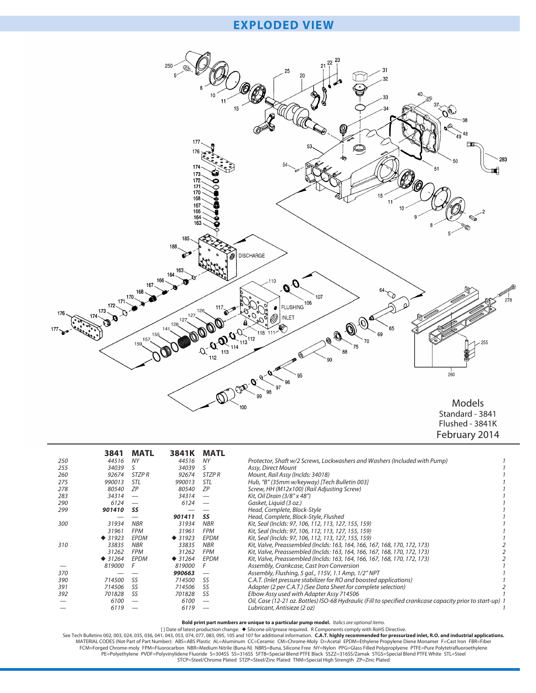## **EXPLODED VIEW**



Flushed - 3841K February 2014

|     | 3841     | <b>MATL</b>  | 3841K    | MATL         |                                                                                                           |  |
|-----|----------|--------------|----------|--------------|-----------------------------------------------------------------------------------------------------------|--|
| 250 | 44516    | NY           | 44516    | NΥ           | Protector, Shaft w/2 Screws, Lockwashers and Washers (Included with Pump)                                 |  |
| 255 | 34039    |              | 34039    | S            | Assy, Direct Mount                                                                                        |  |
| 260 | 92674    | <b>STZPR</b> | 92674    | <b>STZPR</b> | Mount, Rail Assy (Inclds: 34018)                                                                          |  |
| 275 | 990013   | STL          | 990013   | STL          | Hub, "B" (35mm w/keyway) [Tech Bulletin 003]                                                              |  |
| 278 | 80540    | ZΡ           | 80540    | <b>ZP</b>    | Screw, HH (M12x100) (Rail Adjusting Screw)                                                                |  |
| 283 | 34314    |              | 34314    |              | Kit, Oil Drain (3/8" x 48")                                                                               |  |
| 290 | 6124     |              | 6124     |              | Gasket, Liquid (3 oz.)                                                                                    |  |
| 299 | 901410   | SS           |          |              | Head, Complete, Block-Style                                                                               |  |
|     |          |              | 901411   | SS           | Head, Complete, Block-Style, Flushed                                                                      |  |
| 300 | 31934    | <b>NBR</b>   | 31934    | <b>NBR</b>   | Kit, Seal (Inclds: 97, 106, 112, 113, 127, 155, 159)                                                      |  |
|     | 31961    | <b>FPM</b>   | 31961    | <b>FPM</b>   | Kit, Seal (Inclds: 97, 106, 112, 113, 127, 155, 159)                                                      |  |
|     | $*31923$ | <b>EPDM</b>  | $*31923$ | <b>EPDM</b>  | Kit, Seal (Inclds: 97, 106, 112, 113, 127, 155, 159)                                                      |  |
| 310 | 33835    | <b>NBR</b>   | 33835    | <b>NBR</b>   | Kit, Valve, Preassembled (Inclds: 163, 164, 166, 167, 168, 170, 172, 173)                                 |  |
|     | 31262    | <b>FPM</b>   | 31262    | <b>FPM</b>   | Kit, Valve, Preassembled (Inclds: 163, 164, 166, 167, 168, 170, 172, 173)                                 |  |
|     | $*31264$ | EPDM         | $*31264$ | EPDM         | Kit, Valve, Preassembled (Inclds: 163, 164, 166, 167, 168, 170, 172, 173)                                 |  |
|     | 819000   |              | 819000   |              | Assembly, Crankcase, Cast Iron Conversion                                                                 |  |
| 370 |          |              | 990663   |              | Assembly, Flushing, 5 gal., 115V, 1.1 Amp, 1/2" NPT                                                       |  |
| 390 | 714500   | SS           | 714500   | <b>SS</b>    | C.A.T. (Inlet pressure stabilizer for RO and boosted applications)                                        |  |
| 391 | 714506   | <b>SS</b>    | 714506   | <b>SS</b>    | Adapter (2 per C.A.T.) (See Data Sheet for complete selection)                                            |  |
| 392 | 701828   | SS           | 701828   | SS           | Elbow Assy used with Adapter Assy 714506                                                                  |  |
|     | 6100     |              | 6100     |              | Oil, Case (12-21 oz. Bottles) ISO-68 Hydraulic (Fill to specified crankcase capacity prior to start-up) 1 |  |
|     | 6119     |              | 6119     |              | Lubricant, Antisieze (2 oz)                                                                               |  |

Bold print part numbers are unique to a particular pump model. *Italics are optional items.*<br>[1) Date of latest production change. ♦ Silicone oil/grease required. R Components comply with RoHS Directive.<br>MATERIAL CODES (No